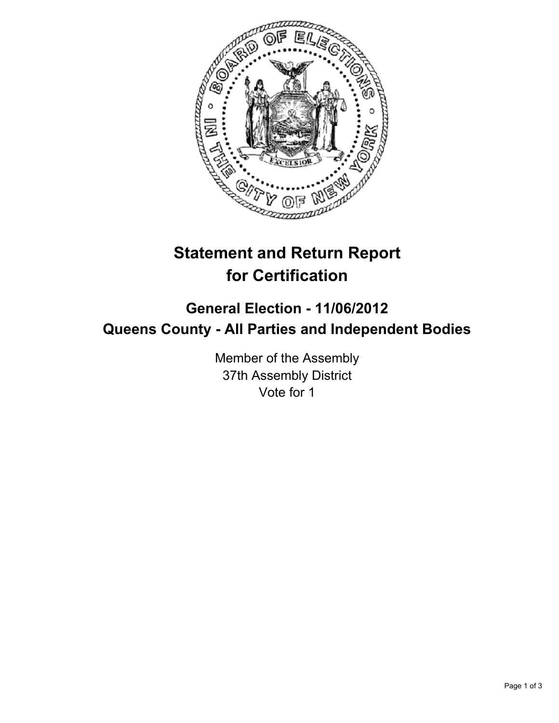

## **Statement and Return Report for Certification**

## **General Election - 11/06/2012 Queens County - All Parties and Independent Bodies**

Member of the Assembly 37th Assembly District Vote for 1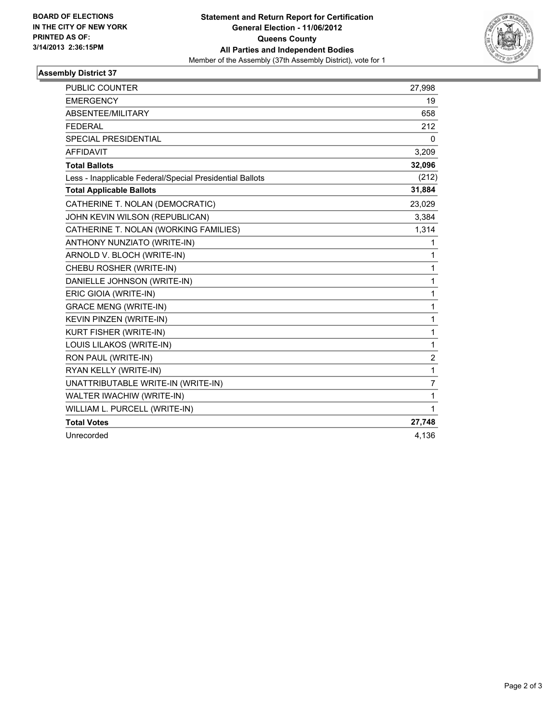

## **Assembly District 37**

| <b>PUBLIC COUNTER</b>                                    | 27,998       |
|----------------------------------------------------------|--------------|
| <b>EMERGENCY</b>                                         | 19           |
| ABSENTEE/MILITARY                                        | 658          |
| <b>FEDERAL</b>                                           | 212          |
| <b>SPECIAL PRESIDENTIAL</b>                              | $\mathbf{0}$ |
| <b>AFFIDAVIT</b>                                         | 3,209        |
| <b>Total Ballots</b>                                     | 32,096       |
| Less - Inapplicable Federal/Special Presidential Ballots | (212)        |
| <b>Total Applicable Ballots</b>                          | 31,884       |
| CATHERINE T. NOLAN (DEMOCRATIC)                          | 23,029       |
| JOHN KEVIN WILSON (REPUBLICAN)                           | 3,384        |
| CATHERINE T. NOLAN (WORKING FAMILIES)                    | 1,314        |
| ANTHONY NUNZIATO (WRITE-IN)                              | 1            |
| ARNOLD V. BLOCH (WRITE-IN)                               | 1            |
| CHEBU ROSHER (WRITE-IN)                                  | 1            |
| DANIELLE JOHNSON (WRITE-IN)                              | 1            |
| ERIC GIOIA (WRITE-IN)                                    | $\mathbf{1}$ |
| <b>GRACE MENG (WRITE-IN)</b>                             | $\mathbf{1}$ |
| KEVIN PINZEN (WRITE-IN)                                  | $\mathbf{1}$ |
| KURT FISHER (WRITE-IN)                                   | 1            |
| LOUIS LILAKOS (WRITE-IN)                                 | $\mathbf{1}$ |
| RON PAUL (WRITE-IN)                                      | 2            |
| RYAN KELLY (WRITE-IN)                                    | 1            |
| UNATTRIBUTABLE WRITE-IN (WRITE-IN)                       | 7            |
| WALTER IWACHIW (WRITE-IN)                                | 1            |
| WILLIAM L. PURCELL (WRITE-IN)                            | $\mathbf{1}$ |
| <b>Total Votes</b>                                       | 27,748       |
| Unrecorded                                               | 4,136        |